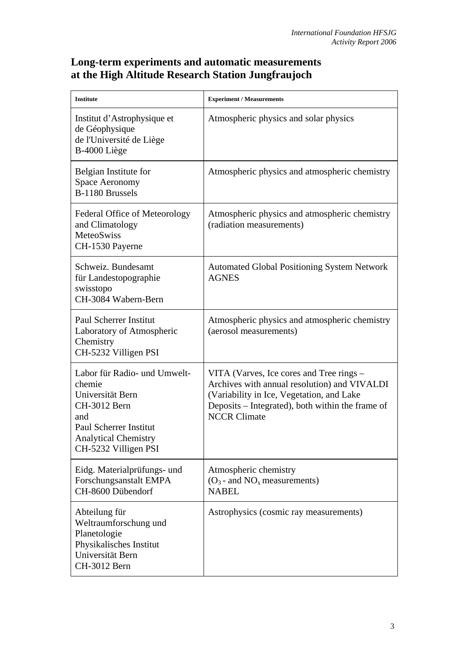## **Long-term experiments and automatic measurements at the High Altitude Research Station Jungfraujoch**

| <b>Institute</b>                                                                                                                                                   | <b>Experiment / Measurements</b>                                                                                                                                                                                 |
|--------------------------------------------------------------------------------------------------------------------------------------------------------------------|------------------------------------------------------------------------------------------------------------------------------------------------------------------------------------------------------------------|
| Institut d'Astrophysique et<br>de Géophysique<br>de l'Université de Liège<br>B-4000 Liège                                                                          | Atmospheric physics and solar physics                                                                                                                                                                            |
| Belgian Institute for<br><b>Space Aeronomy</b><br><b>B-1180 Brussels</b>                                                                                           | Atmospheric physics and atmospheric chemistry                                                                                                                                                                    |
| Federal Office of Meteorology<br>and Climatology<br><b>MeteoSwiss</b><br>CH-1530 Payerne                                                                           | Atmospheric physics and atmospheric chemistry<br>(radiation measurements)                                                                                                                                        |
| Schweiz. Bundesamt<br>für Landestopographie<br>swisstopo<br>CH-3084 Wabern-Bern                                                                                    | <b>Automated Global Positioning System Network</b><br><b>AGNES</b>                                                                                                                                               |
| <b>Paul Scherrer Institut</b><br>Laboratory of Atmospheric<br>Chemistry<br>CH-5232 Villigen PSI                                                                    | Atmospheric physics and atmospheric chemistry<br>(aerosol measurements)                                                                                                                                          |
| Labor für Radio- und Umwelt-<br>chemie<br>Universität Bern<br>CH-3012 Bern<br>and<br>Paul Scherrer Institut<br><b>Analytical Chemistry</b><br>CH-5232 Villigen PSI | VITA (Varves, Ice cores and Tree rings –<br>Archives with annual resolution) and VIVALDI<br>(Variability in Ice, Vegetation, and Lake<br>Deposits – Integrated), both within the frame of<br><b>NCCR Climate</b> |
| Eidg. Materialprüfungs- und<br>Forschungsanstalt EMPA<br>CH-8600 Dübendorf                                                                                         | Atmospheric chemistry<br>$(O_3$ - and $NO_x$ measurements)<br><b>NABEL</b>                                                                                                                                       |
| Abteilung für<br>Weltraumforschung und<br>Planetologie<br>Physikalisches Institut<br>Universität Bern<br>CH-3012 Bern                                              | Astrophysics (cosmic ray measurements)                                                                                                                                                                           |